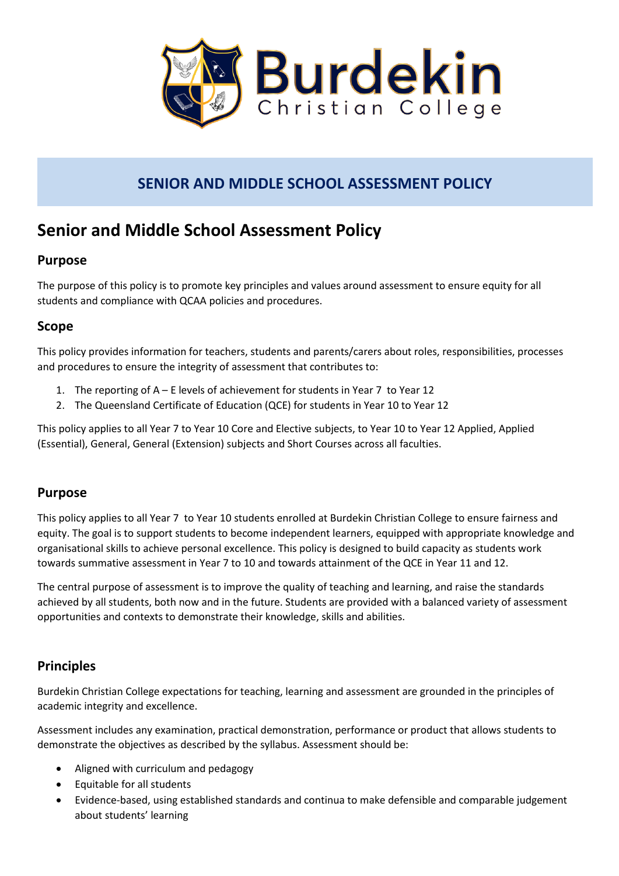

## **SENIOR AND MIDDLE SCHOOL ASSESSMENT POLICY**

# **Senior and Middle School Assessment Policy**

## **Purpose**

The purpose of this policy is to promote key principles and values around assessment to ensure equity for all students and compliance with QCAA policies and procedures.

## **Scope**

This policy provides information for teachers, students and parents/carers about roles, responsibilities, processes and procedures to ensure the integrity of assessment that contributes to:

- 1. The reporting of A E levels of achievement for students in Year 7 to Year 12
- 2. The Queensland Certificate of Education (QCE) for students in Year 10 to Year 12

This policy applies to all Year 7 to Year 10 Core and Elective subjects, to Year 10 to Year 12 Applied, Applied (Essential), General, General (Extension) subjects and Short Courses across all faculties.

## **Purpose**

This policy applies to all Year 7 to Year 10 students enrolled at Burdekin Christian College to ensure fairness and equity. The goal is to support students to become independent learners, equipped with appropriate knowledge and organisational skills to achieve personal excellence. This policy is designed to build capacity as students work towards summative assessment in Year 7 to 10 and towards attainment of the QCE in Year 11 and 12.

The central purpose of assessment is to improve the quality of teaching and learning, and raise the standards achieved by all students, both now and in the future. Students are provided with a balanced variety of assessment opportunities and contexts to demonstrate their knowledge, skills and abilities.

## **Principles**

Burdekin Christian College expectations for teaching, learning and assessment are grounded in the principles of academic integrity and excellence.

Assessment includes any examination, practical demonstration, performance or product that allows students to demonstrate the objectives as described by the syllabus. Assessment should be:

- Aligned with curriculum and pedagogy
- Equitable for all students
- Evidence-based, using established standards and continua to make defensible and comparable judgement about students' learning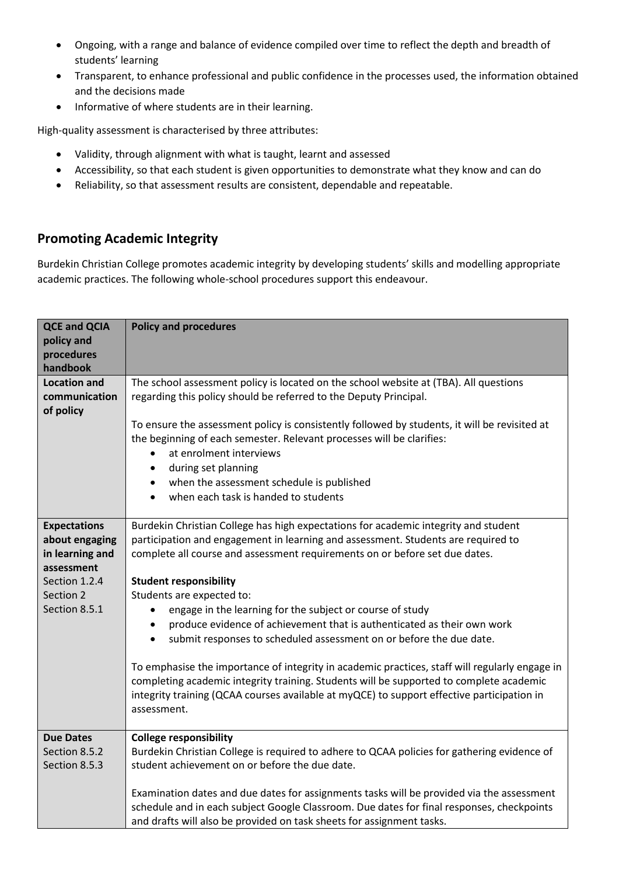- Ongoing, with a range and balance of evidence compiled over time to reflect the depth and breadth of students' learning
- Transparent, to enhance professional and public confidence in the processes used, the information obtained and the decisions made
- Informative of where students are in their learning.

High-quality assessment is characterised by three attributes:

- Validity, through alignment with what is taught, learnt and assessed
- Accessibility, so that each student is given opportunities to demonstrate what they know and can do
- Reliability, so that assessment results are consistent, dependable and repeatable.

### **Promoting Academic Integrity**

Burdekin Christian College promotes academic integrity by developing students' skills and modelling appropriate academic practices. The following whole-school procedures support this endeavour.

| <b>QCE and QCIA</b><br>policy and<br>procedures<br>handbook                                                           | <b>Policy and procedures</b>                                                                                                                                                                                                                                                                                                                                                                                                                                                                                                                                                                                                                                                                                                                                                                                                                                                          |
|-----------------------------------------------------------------------------------------------------------------------|---------------------------------------------------------------------------------------------------------------------------------------------------------------------------------------------------------------------------------------------------------------------------------------------------------------------------------------------------------------------------------------------------------------------------------------------------------------------------------------------------------------------------------------------------------------------------------------------------------------------------------------------------------------------------------------------------------------------------------------------------------------------------------------------------------------------------------------------------------------------------------------|
| <b>Location and</b><br>communication<br>of policy                                                                     | The school assessment policy is located on the school website at (TBA). All questions<br>regarding this policy should be referred to the Deputy Principal.<br>To ensure the assessment policy is consistently followed by students, it will be revisited at<br>the beginning of each semester. Relevant processes will be clarifies:<br>at enrolment interviews<br>$\bullet$<br>during set planning<br>$\bullet$<br>when the assessment schedule is published<br>$\bullet$<br>when each task is handed to students<br>$\bullet$                                                                                                                                                                                                                                                                                                                                                       |
| <b>Expectations</b><br>about engaging<br>in learning and<br>assessment<br>Section 1.2.4<br>Section 2<br>Section 8.5.1 | Burdekin Christian College has high expectations for academic integrity and student<br>participation and engagement in learning and assessment. Students are required to<br>complete all course and assessment requirements on or before set due dates.<br><b>Student responsibility</b><br>Students are expected to:<br>engage in the learning for the subject or course of study<br>$\bullet$<br>produce evidence of achievement that is authenticated as their own work<br>$\bullet$<br>submit responses to scheduled assessment on or before the due date.<br>$\bullet$<br>To emphasise the importance of integrity in academic practices, staff will regularly engage in<br>completing academic integrity training. Students will be supported to complete academic<br>integrity training (QCAA courses available at myQCE) to support effective participation in<br>assessment. |
| <b>Due Dates</b><br>Section 8.5.2<br>Section 8.5.3                                                                    | <b>College responsibility</b><br>Burdekin Christian College is required to adhere to QCAA policies for gathering evidence of<br>student achievement on or before the due date.<br>Examination dates and due dates for assignments tasks will be provided via the assessment<br>schedule and in each subject Google Classroom. Due dates for final responses, checkpoints<br>and drafts will also be provided on task sheets for assignment tasks.                                                                                                                                                                                                                                                                                                                                                                                                                                     |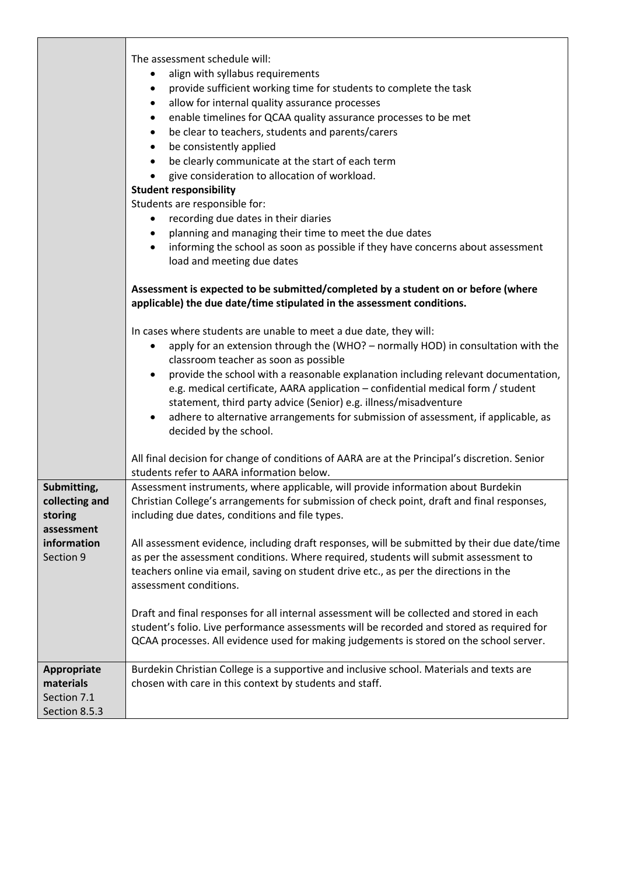| Submitting,<br>collecting and<br>storing<br>assessment<br>information<br>Section 9 | The assessment schedule will:<br>align with syllabus requirements<br>$\bullet$<br>provide sufficient working time for students to complete the task<br>٠<br>allow for internal quality assurance processes<br>٠<br>enable timelines for QCAA quality assurance processes to be met<br>$\bullet$<br>be clear to teachers, students and parents/carers<br>$\bullet$<br>be consistently applied<br>$\bullet$<br>be clearly communicate at the start of each term<br>$\bullet$<br>give consideration to allocation of workload.<br><b>Student responsibility</b><br>Students are responsible for:<br>recording due dates in their diaries<br>$\bullet$<br>planning and managing their time to meet the due dates<br>$\bullet$<br>informing the school as soon as possible if they have concerns about assessment<br>$\bullet$<br>load and meeting due dates<br>Assessment is expected to be submitted/completed by a student on or before (where<br>applicable) the due date/time stipulated in the assessment conditions.<br>In cases where students are unable to meet a due date, they will:<br>apply for an extension through the (WHO? - normally HOD) in consultation with the<br>٠<br>classroom teacher as soon as possible<br>provide the school with a reasonable explanation including relevant documentation,<br>٠<br>e.g. medical certificate, AARA application - confidential medical form / student<br>statement, third party advice (Senior) e.g. illness/misadventure<br>adhere to alternative arrangements for submission of assessment, if applicable, as<br>$\bullet$<br>decided by the school.<br>All final decision for change of conditions of AARA are at the Principal's discretion. Senior<br>students refer to AARA information below.<br>Assessment instruments, where applicable, will provide information about Burdekin<br>Christian College's arrangements for submission of check point, draft and final responses,<br>including due dates, conditions and file types.<br>All assessment evidence, including draft responses, will be submitted by their due date/time<br>as per the assessment conditions. Where required, students will submit assessment to<br>teachers online via email, saving on student drive etc., as per the directions in the<br>assessment conditions.<br>Draft and final responses for all internal assessment will be collected and stored in each |
|------------------------------------------------------------------------------------|-------------------------------------------------------------------------------------------------------------------------------------------------------------------------------------------------------------------------------------------------------------------------------------------------------------------------------------------------------------------------------------------------------------------------------------------------------------------------------------------------------------------------------------------------------------------------------------------------------------------------------------------------------------------------------------------------------------------------------------------------------------------------------------------------------------------------------------------------------------------------------------------------------------------------------------------------------------------------------------------------------------------------------------------------------------------------------------------------------------------------------------------------------------------------------------------------------------------------------------------------------------------------------------------------------------------------------------------------------------------------------------------------------------------------------------------------------------------------------------------------------------------------------------------------------------------------------------------------------------------------------------------------------------------------------------------------------------------------------------------------------------------------------------------------------------------------------------------------------------------------------------------------------------------------------------------------------------------------------------------------------------------------------------------------------------------------------------------------------------------------------------------------------------------------------------------------------------------------------------------------------------------------------------------------------------------------------------------------------------------------------------------------------------|
|                                                                                    | student's folio. Live performance assessments will be recorded and stored as required for<br>QCAA processes. All evidence used for making judgements is stored on the school server.                                                                                                                                                                                                                                                                                                                                                                                                                                                                                                                                                                                                                                                                                                                                                                                                                                                                                                                                                                                                                                                                                                                                                                                                                                                                                                                                                                                                                                                                                                                                                                                                                                                                                                                                                                                                                                                                                                                                                                                                                                                                                                                                                                                                                        |
| Appropriate                                                                        | Burdekin Christian College is a supportive and inclusive school. Materials and texts are                                                                                                                                                                                                                                                                                                                                                                                                                                                                                                                                                                                                                                                                                                                                                                                                                                                                                                                                                                                                                                                                                                                                                                                                                                                                                                                                                                                                                                                                                                                                                                                                                                                                                                                                                                                                                                                                                                                                                                                                                                                                                                                                                                                                                                                                                                                    |
| materials<br>Section 7.1<br>Section 8.5.3                                          | chosen with care in this context by students and staff.                                                                                                                                                                                                                                                                                                                                                                                                                                                                                                                                                                                                                                                                                                                                                                                                                                                                                                                                                                                                                                                                                                                                                                                                                                                                                                                                                                                                                                                                                                                                                                                                                                                                                                                                                                                                                                                                                                                                                                                                                                                                                                                                                                                                                                                                                                                                                     |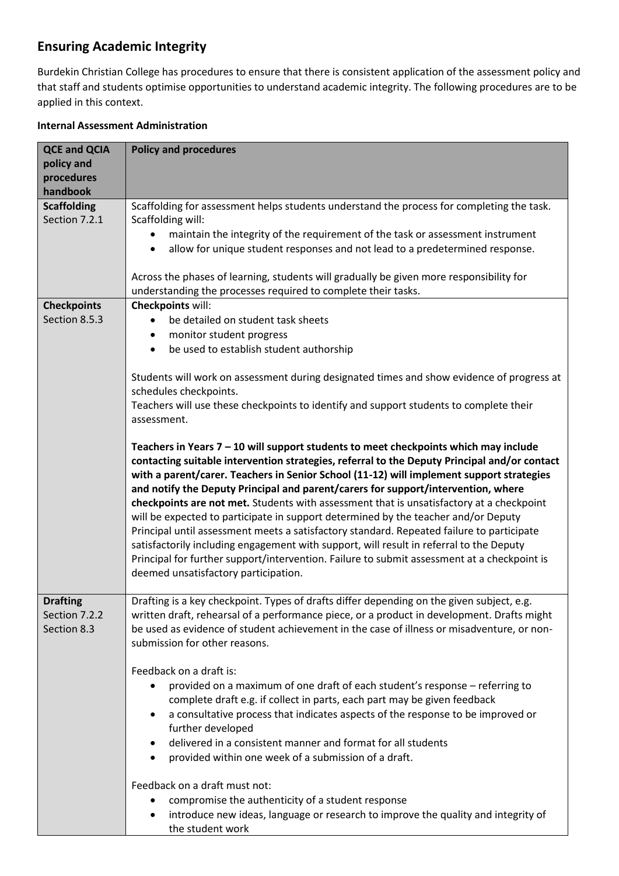## **Ensuring Academic Integrity**

Burdekin Christian College has procedures to ensure that there is consistent application of the assessment policy and that staff and students optimise opportunities to understand academic integrity. The following procedures are to be applied in this context.

#### **Internal Assessment Administration**

| <b>QCE and QCIA</b><br>policy and<br>procedures<br>handbook | <b>Policy and procedures</b>                                                                                                                                                                                                                                                                                                                                                                                                                                                                                                                                                                                                                                                                                                                                                                                                                                                                                                                                                                                                                                                                                                                                                                                                                          |
|-------------------------------------------------------------|-------------------------------------------------------------------------------------------------------------------------------------------------------------------------------------------------------------------------------------------------------------------------------------------------------------------------------------------------------------------------------------------------------------------------------------------------------------------------------------------------------------------------------------------------------------------------------------------------------------------------------------------------------------------------------------------------------------------------------------------------------------------------------------------------------------------------------------------------------------------------------------------------------------------------------------------------------------------------------------------------------------------------------------------------------------------------------------------------------------------------------------------------------------------------------------------------------------------------------------------------------|
| <b>Scaffolding</b><br>Section 7.2.1                         | Scaffolding for assessment helps students understand the process for completing the task.<br>Scaffolding will:<br>maintain the integrity of the requirement of the task or assessment instrument<br>allow for unique student responses and not lead to a predetermined response.<br>$\bullet$<br>Across the phases of learning, students will gradually be given more responsibility for<br>understanding the processes required to complete their tasks.                                                                                                                                                                                                                                                                                                                                                                                                                                                                                                                                                                                                                                                                                                                                                                                             |
| <b>Checkpoints</b>                                          | <b>Checkpoints will:</b>                                                                                                                                                                                                                                                                                                                                                                                                                                                                                                                                                                                                                                                                                                                                                                                                                                                                                                                                                                                                                                                                                                                                                                                                                              |
| Section 8.5.3                                               | be detailed on student task sheets<br>monitor student progress<br>٠<br>be used to establish student authorship<br>$\bullet$<br>Students will work on assessment during designated times and show evidence of progress at<br>schedules checkpoints.<br>Teachers will use these checkpoints to identify and support students to complete their<br>assessment.<br>Teachers in Years 7 - 10 will support students to meet checkpoints which may include<br>contacting suitable intervention strategies, referral to the Deputy Principal and/or contact<br>with a parent/carer. Teachers in Senior School (11-12) will implement support strategies<br>and notify the Deputy Principal and parent/carers for support/intervention, where<br>checkpoints are not met. Students with assessment that is unsatisfactory at a checkpoint<br>will be expected to participate in support determined by the teacher and/or Deputy<br>Principal until assessment meets a satisfactory standard. Repeated failure to participate<br>satisfactorily including engagement with support, will result in referral to the Deputy<br>Principal for further support/intervention. Failure to submit assessment at a checkpoint is<br>deemed unsatisfactory participation. |
| <b>Drafting</b><br>Section 7.2.2<br>Section 8.3             | Drafting is a key checkpoint. Types of drafts differ depending on the given subject, e.g.<br>written draft, rehearsal of a performance piece, or a product in development. Drafts might<br>be used as evidence of student achievement in the case of illness or misadventure, or non-<br>submission for other reasons.<br>Feedback on a draft is:<br>provided on a maximum of one draft of each student's response - referring to<br>complete draft e.g. if collect in parts, each part may be given feedback<br>a consultative process that indicates aspects of the response to be improved or<br>٠<br>further developed<br>delivered in a consistent manner and format for all students<br>$\bullet$<br>provided within one week of a submission of a draft.<br>٠<br>Feedback on a draft must not:<br>compromise the authenticity of a student response<br>introduce new ideas, language or research to improve the quality and integrity of<br>٠<br>the student work                                                                                                                                                                                                                                                                              |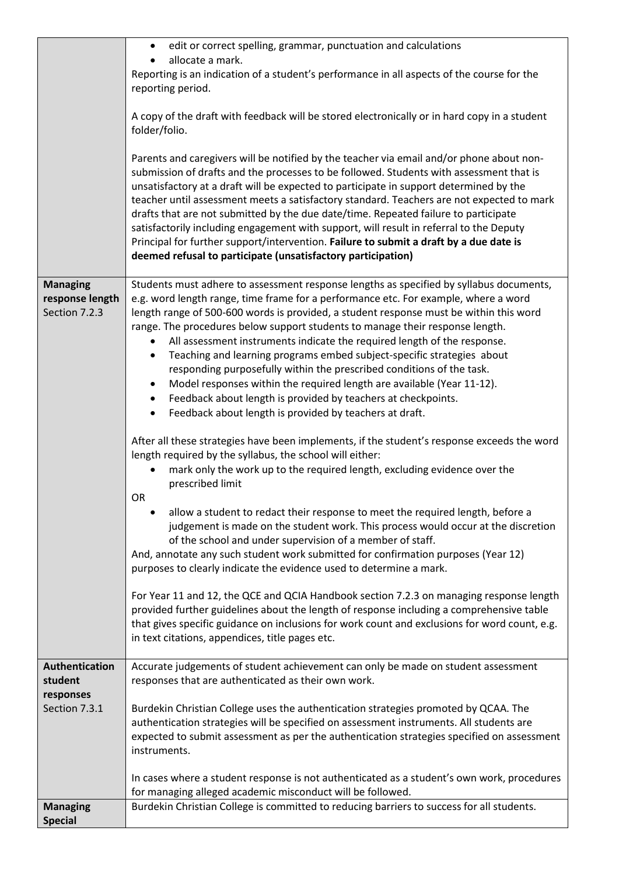|                      | edit or correct spelling, grammar, punctuation and calculations<br>$\bullet$                                                                                                                                                                                                                                                                                                                                                                                                                                                                                                                                                                                                                                           |
|----------------------|------------------------------------------------------------------------------------------------------------------------------------------------------------------------------------------------------------------------------------------------------------------------------------------------------------------------------------------------------------------------------------------------------------------------------------------------------------------------------------------------------------------------------------------------------------------------------------------------------------------------------------------------------------------------------------------------------------------------|
|                      | allocate a mark.                                                                                                                                                                                                                                                                                                                                                                                                                                                                                                                                                                                                                                                                                                       |
|                      | Reporting is an indication of a student's performance in all aspects of the course for the<br>reporting period.                                                                                                                                                                                                                                                                                                                                                                                                                                                                                                                                                                                                        |
|                      |                                                                                                                                                                                                                                                                                                                                                                                                                                                                                                                                                                                                                                                                                                                        |
|                      | A copy of the draft with feedback will be stored electronically or in hard copy in a student<br>folder/folio.                                                                                                                                                                                                                                                                                                                                                                                                                                                                                                                                                                                                          |
|                      | Parents and caregivers will be notified by the teacher via email and/or phone about non-<br>submission of drafts and the processes to be followed. Students with assessment that is<br>unsatisfactory at a draft will be expected to participate in support determined by the<br>teacher until assessment meets a satisfactory standard. Teachers are not expected to mark<br>drafts that are not submitted by the due date/time. Repeated failure to participate<br>satisfactorily including engagement with support, will result in referral to the Deputy<br>Principal for further support/intervention. Failure to submit a draft by a due date is<br>deemed refusal to participate (unsatisfactory participation) |
| <b>Managing</b>      | Students must adhere to assessment response lengths as specified by syllabus documents,                                                                                                                                                                                                                                                                                                                                                                                                                                                                                                                                                                                                                                |
| response length      | e.g. word length range, time frame for a performance etc. For example, where a word                                                                                                                                                                                                                                                                                                                                                                                                                                                                                                                                                                                                                                    |
| Section 7.2.3        | length range of 500-600 words is provided, a student response must be within this word<br>range. The procedures below support students to manage their response length.                                                                                                                                                                                                                                                                                                                                                                                                                                                                                                                                                |
|                      | All assessment instruments indicate the required length of the response.<br>$\bullet$                                                                                                                                                                                                                                                                                                                                                                                                                                                                                                                                                                                                                                  |
|                      | Teaching and learning programs embed subject-specific strategies about<br>$\bullet$                                                                                                                                                                                                                                                                                                                                                                                                                                                                                                                                                                                                                                    |
|                      | responding purposefully within the prescribed conditions of the task.                                                                                                                                                                                                                                                                                                                                                                                                                                                                                                                                                                                                                                                  |
|                      | Model responses within the required length are available (Year 11-12).<br>$\bullet$                                                                                                                                                                                                                                                                                                                                                                                                                                                                                                                                                                                                                                    |
|                      | Feedback about length is provided by teachers at checkpoints.<br>$\bullet$                                                                                                                                                                                                                                                                                                                                                                                                                                                                                                                                                                                                                                             |
|                      | Feedback about length is provided by teachers at draft.<br>$\bullet$                                                                                                                                                                                                                                                                                                                                                                                                                                                                                                                                                                                                                                                   |
|                      | After all these strategies have been implements, if the student's response exceeds the word<br>length required by the syllabus, the school will either:                                                                                                                                                                                                                                                                                                                                                                                                                                                                                                                                                                |
|                      | mark only the work up to the required length, excluding evidence over the<br>prescribed limit<br>OR                                                                                                                                                                                                                                                                                                                                                                                                                                                                                                                                                                                                                    |
|                      | allow a student to redact their response to meet the required length, before a<br>judgement is made on the student work. This process would occur at the discretion<br>of the school and under supervision of a member of staff.                                                                                                                                                                                                                                                                                                                                                                                                                                                                                       |
|                      | And, annotate any such student work submitted for confirmation purposes (Year 12)<br>purposes to clearly indicate the evidence used to determine a mark.                                                                                                                                                                                                                                                                                                                                                                                                                                                                                                                                                               |
|                      |                                                                                                                                                                                                                                                                                                                                                                                                                                                                                                                                                                                                                                                                                                                        |
|                      | For Year 11 and 12, the QCE and QCIA Handbook section 7.2.3 on managing response length<br>provided further guidelines about the length of response including a comprehensive table                                                                                                                                                                                                                                                                                                                                                                                                                                                                                                                                    |
|                      | that gives specific guidance on inclusions for work count and exclusions for word count, e.g.                                                                                                                                                                                                                                                                                                                                                                                                                                                                                                                                                                                                                          |
|                      | in text citations, appendices, title pages etc.                                                                                                                                                                                                                                                                                                                                                                                                                                                                                                                                                                                                                                                                        |
|                      |                                                                                                                                                                                                                                                                                                                                                                                                                                                                                                                                                                                                                                                                                                                        |
| Authentication       | Accurate judgements of student achievement can only be made on student assessment                                                                                                                                                                                                                                                                                                                                                                                                                                                                                                                                                                                                                                      |
| student<br>responses | responses that are authenticated as their own work.                                                                                                                                                                                                                                                                                                                                                                                                                                                                                                                                                                                                                                                                    |
| Section 7.3.1        | Burdekin Christian College uses the authentication strategies promoted by QCAA. The                                                                                                                                                                                                                                                                                                                                                                                                                                                                                                                                                                                                                                    |
|                      | authentication strategies will be specified on assessment instruments. All students are                                                                                                                                                                                                                                                                                                                                                                                                                                                                                                                                                                                                                                |
|                      | expected to submit assessment as per the authentication strategies specified on assessment<br>instruments.                                                                                                                                                                                                                                                                                                                                                                                                                                                                                                                                                                                                             |
|                      | In cases where a student response is not authenticated as a student's own work, procedures<br>for managing alleged academic misconduct will be followed.                                                                                                                                                                                                                                                                                                                                                                                                                                                                                                                                                               |
| <b>Managing</b>      | Burdekin Christian College is committed to reducing barriers to success for all students.                                                                                                                                                                                                                                                                                                                                                                                                                                                                                                                                                                                                                              |
| <b>Special</b>       |                                                                                                                                                                                                                                                                                                                                                                                                                                                                                                                                                                                                                                                                                                                        |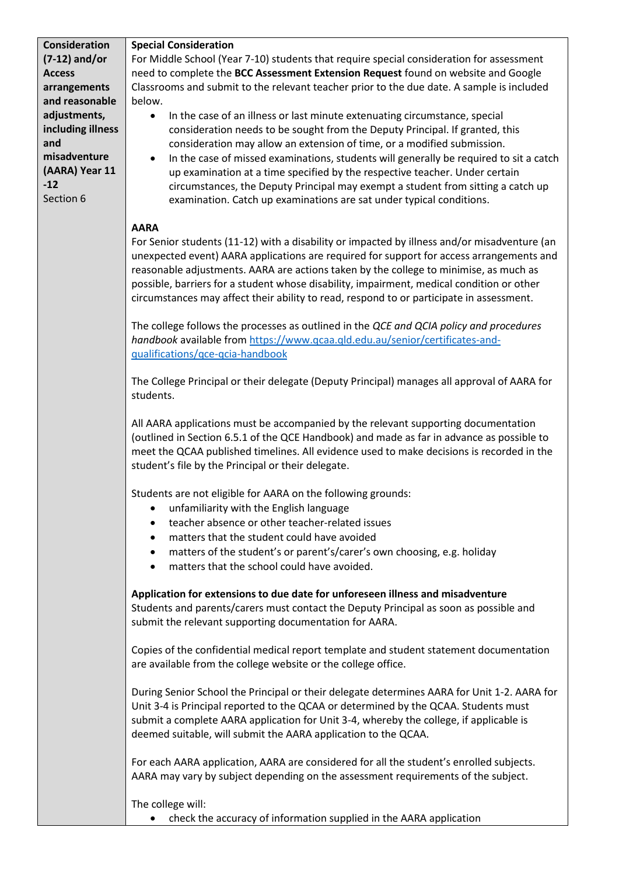| <b>Consideration</b><br>$(7-12)$ and/or<br><b>Access</b><br>arrangements<br>and reasonable<br>adjustments,<br>including illness<br>and<br>misadventure<br>(AARA) Year 11<br>$-12$<br>Section 6 | <b>Special Consideration</b><br>For Middle School (Year 7-10) students that require special consideration for assessment<br>need to complete the BCC Assessment Extension Request found on website and Google<br>Classrooms and submit to the relevant teacher prior to the due date. A sample is included<br>below.<br>In the case of an illness or last minute extenuating circumstance, special<br>$\bullet$<br>consideration needs to be sought from the Deputy Principal. If granted, this<br>consideration may allow an extension of time, or a modified submission.<br>In the case of missed examinations, students will generally be required to sit a catch<br>$\bullet$<br>up examination at a time specified by the respective teacher. Under certain<br>circumstances, the Deputy Principal may exempt a student from sitting a catch up<br>examination. Catch up examinations are sat under typical conditions. |
|------------------------------------------------------------------------------------------------------------------------------------------------------------------------------------------------|------------------------------------------------------------------------------------------------------------------------------------------------------------------------------------------------------------------------------------------------------------------------------------------------------------------------------------------------------------------------------------------------------------------------------------------------------------------------------------------------------------------------------------------------------------------------------------------------------------------------------------------------------------------------------------------------------------------------------------------------------------------------------------------------------------------------------------------------------------------------------------------------------------------------------|
|                                                                                                                                                                                                | <b>AARA</b><br>For Senior students (11-12) with a disability or impacted by illness and/or misadventure (an<br>unexpected event) AARA applications are required for support for access arrangements and<br>reasonable adjustments. AARA are actions taken by the college to minimise, as much as<br>possible, barriers for a student whose disability, impairment, medical condition or other<br>circumstances may affect their ability to read, respond to or participate in assessment.<br>The college follows the processes as outlined in the QCE and QCIA policy and procedures                                                                                                                                                                                                                                                                                                                                         |
|                                                                                                                                                                                                | handbook available from https://www.qcaa.qld.edu.au/senior/certificates-and-<br>qualifications/qce-qcia-handbook<br>The College Principal or their delegate (Deputy Principal) manages all approval of AARA for<br>students.<br>All AARA applications must be accompanied by the relevant supporting documentation<br>(outlined in Section 6.5.1 of the QCE Handbook) and made as far in advance as possible to<br>meet the QCAA published timelines. All evidence used to make decisions is recorded in the                                                                                                                                                                                                                                                                                                                                                                                                                 |
|                                                                                                                                                                                                | student's file by the Principal or their delegate.<br>Students are not eligible for AARA on the following grounds:<br>unfamiliarity with the English language<br>٠<br>teacher absence or other teacher-related issues<br>$\bullet$<br>matters that the student could have avoided<br>$\bullet$<br>matters of the student's or parent's/carer's own choosing, e.g. holiday<br>$\bullet$<br>matters that the school could have avoided.<br>$\bullet$                                                                                                                                                                                                                                                                                                                                                                                                                                                                           |
|                                                                                                                                                                                                | Application for extensions to due date for unforeseen illness and misadventure<br>Students and parents/carers must contact the Deputy Principal as soon as possible and<br>submit the relevant supporting documentation for AARA.                                                                                                                                                                                                                                                                                                                                                                                                                                                                                                                                                                                                                                                                                            |
|                                                                                                                                                                                                | Copies of the confidential medical report template and student statement documentation<br>are available from the college website or the college office.                                                                                                                                                                                                                                                                                                                                                                                                                                                                                                                                                                                                                                                                                                                                                                      |
|                                                                                                                                                                                                | During Senior School the Principal or their delegate determines AARA for Unit 1-2. AARA for<br>Unit 3-4 is Principal reported to the QCAA or determined by the QCAA. Students must<br>submit a complete AARA application for Unit 3-4, whereby the college, if applicable is<br>deemed suitable, will submit the AARA application to the QCAA.                                                                                                                                                                                                                                                                                                                                                                                                                                                                                                                                                                               |
|                                                                                                                                                                                                | For each AARA application, AARA are considered for all the student's enrolled subjects.<br>AARA may vary by subject depending on the assessment requirements of the subject.                                                                                                                                                                                                                                                                                                                                                                                                                                                                                                                                                                                                                                                                                                                                                 |
|                                                                                                                                                                                                | The college will:<br>check the accuracy of information supplied in the AARA application                                                                                                                                                                                                                                                                                                                                                                                                                                                                                                                                                                                                                                                                                                                                                                                                                                      |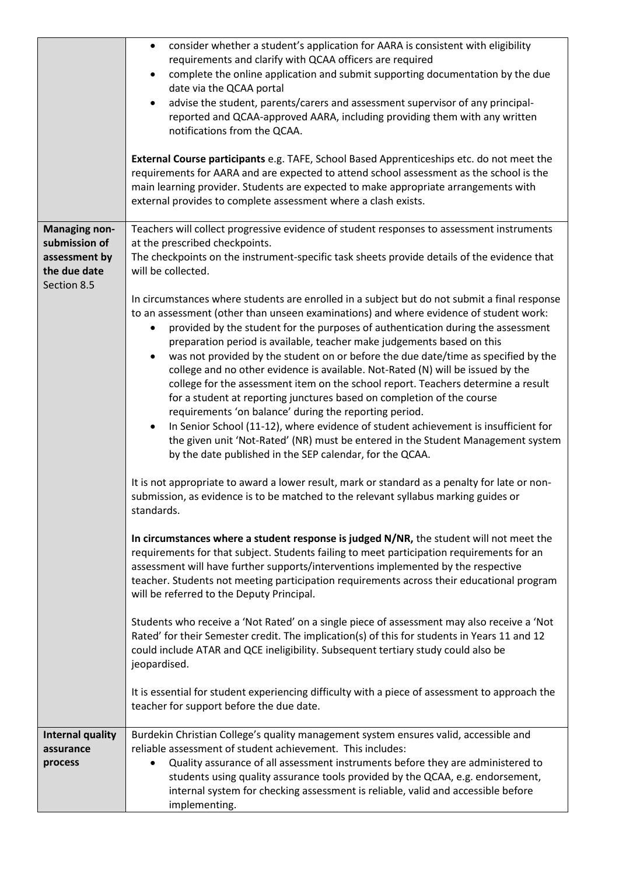|                                                                                       | consider whether a student's application for AARA is consistent with eligibility<br>$\bullet$<br>requirements and clarify with QCAA officers are required<br>complete the online application and submit supporting documentation by the due<br>date via the QCAA portal<br>advise the student, parents/carers and assessment supervisor of any principal-<br>$\bullet$<br>reported and QCAA-approved AARA, including providing them with any written<br>notifications from the QCAA.<br>External Course participants e.g. TAFE, School Based Apprenticeships etc. do not meet the<br>requirements for AARA and are expected to attend school assessment as the school is the<br>main learning provider. Students are expected to make appropriate arrangements with<br>external provides to complete assessment where a clash exists. |
|---------------------------------------------------------------------------------------|---------------------------------------------------------------------------------------------------------------------------------------------------------------------------------------------------------------------------------------------------------------------------------------------------------------------------------------------------------------------------------------------------------------------------------------------------------------------------------------------------------------------------------------------------------------------------------------------------------------------------------------------------------------------------------------------------------------------------------------------------------------------------------------------------------------------------------------|
| <b>Managing non-</b><br>submission of<br>assessment by<br>the due date<br>Section 8.5 | Teachers will collect progressive evidence of student responses to assessment instruments<br>at the prescribed checkpoints.<br>The checkpoints on the instrument-specific task sheets provide details of the evidence that<br>will be collected.<br>In circumstances where students are enrolled in a subject but do not submit a final response<br>to an assessment (other than unseen examinations) and where evidence of student work:                                                                                                                                                                                                                                                                                                                                                                                             |
|                                                                                       | provided by the student for the purposes of authentication during the assessment<br>٠<br>preparation period is available, teacher make judgements based on this<br>was not provided by the student on or before the due date/time as specified by the<br>$\bullet$<br>college and no other evidence is available. Not-Rated (N) will be issued by the<br>college for the assessment item on the school report. Teachers determine a result<br>for a student at reporting junctures based on completion of the course<br>requirements 'on balance' during the reporting period.<br>In Senior School (11-12), where evidence of student achievement is insufficient for<br>$\bullet$<br>the given unit 'Not-Rated' (NR) must be entered in the Student Management system<br>by the date published in the SEP calendar, for the QCAA.    |
|                                                                                       | It is not appropriate to award a lower result, mark or standard as a penalty for late or non-<br>submission, as evidence is to be matched to the relevant syllabus marking guides or<br>standards.                                                                                                                                                                                                                                                                                                                                                                                                                                                                                                                                                                                                                                    |
|                                                                                       | In circumstances where a student response is judged N/NR, the student will not meet the<br>requirements for that subject. Students failing to meet participation requirements for an<br>assessment will have further supports/interventions implemented by the respective<br>teacher. Students not meeting participation requirements across their educational program<br>will be referred to the Deputy Principal.                                                                                                                                                                                                                                                                                                                                                                                                                   |
|                                                                                       | Students who receive a 'Not Rated' on a single piece of assessment may also receive a 'Not<br>Rated' for their Semester credit. The implication(s) of this for students in Years 11 and 12<br>could include ATAR and QCE ineligibility. Subsequent tertiary study could also be<br>jeopardised.                                                                                                                                                                                                                                                                                                                                                                                                                                                                                                                                       |
|                                                                                       | It is essential for student experiencing difficulty with a piece of assessment to approach the<br>teacher for support before the due date.                                                                                                                                                                                                                                                                                                                                                                                                                                                                                                                                                                                                                                                                                            |
| <b>Internal quality</b><br>assurance<br>process                                       | Burdekin Christian College's quality management system ensures valid, accessible and<br>reliable assessment of student achievement. This includes:<br>Quality assurance of all assessment instruments before they are administered to<br>٠<br>students using quality assurance tools provided by the QCAA, e.g. endorsement,<br>internal system for checking assessment is reliable, valid and accessible before<br>implementing.                                                                                                                                                                                                                                                                                                                                                                                                     |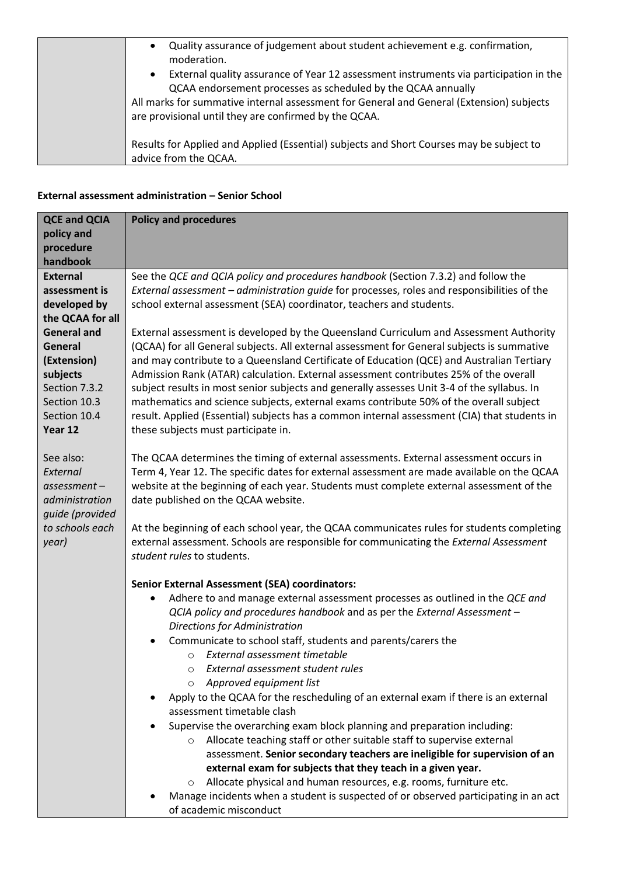| Quality assurance of judgement about student achievement e.g. confirmation,<br>$\bullet$<br>moderation.<br>External quality assurance of Year 12 assessment instruments via participation in the<br>$\bullet$<br>QCAA endorsement processes as scheduled by the QCAA annually<br>All marks for summative internal assessment for General and General (Extension) subjects<br>are provisional until they are confirmed by the QCAA. |
|------------------------------------------------------------------------------------------------------------------------------------------------------------------------------------------------------------------------------------------------------------------------------------------------------------------------------------------------------------------------------------------------------------------------------------|
| Results for Applied and Applied (Essential) subjects and Short Courses may be subject to<br>advice from the QCAA.                                                                                                                                                                                                                                                                                                                  |

#### **External assessment administration – Senior School**

| <b>QCE and QCIA</b> | <b>Policy and procedures</b>                                                                 |  |  |
|---------------------|----------------------------------------------------------------------------------------------|--|--|
| policy and          |                                                                                              |  |  |
| procedure           |                                                                                              |  |  |
| handbook            |                                                                                              |  |  |
| <b>External</b>     | See the QCE and QCIA policy and procedures handbook (Section 7.3.2) and follow the           |  |  |
| assessment is       | External assessment - administration guide for processes, roles and responsibilities of the  |  |  |
| developed by        | school external assessment (SEA) coordinator, teachers and students.                         |  |  |
| the QCAA for all    |                                                                                              |  |  |
| <b>General and</b>  | External assessment is developed by the Queensland Curriculum and Assessment Authority       |  |  |
| General             | (QCAA) for all General subjects. All external assessment for General subjects is summative   |  |  |
| (Extension)         | and may contribute to a Queensland Certificate of Education (QCE) and Australian Tertiary    |  |  |
| subjects            | Admission Rank (ATAR) calculation. External assessment contributes 25% of the overall        |  |  |
| Section 7.3.2       | subject results in most senior subjects and generally assesses Unit 3-4 of the syllabus. In  |  |  |
| Section 10.3        | mathematics and science subjects, external exams contribute 50% of the overall subject       |  |  |
| Section 10.4        | result. Applied (Essential) subjects has a common internal assessment (CIA) that students in |  |  |
| Year 12             | these subjects must participate in.                                                          |  |  |
|                     |                                                                                              |  |  |
| See also:           | The QCAA determines the timing of external assessments. External assessment occurs in        |  |  |
| External            | Term 4, Year 12. The specific dates for external assessment are made available on the QCAA   |  |  |
| $assessment -$      | website at the beginning of each year. Students must complete external assessment of the     |  |  |
| administration      | date published on the QCAA website.                                                          |  |  |
| quide (provided     |                                                                                              |  |  |
| to schools each     | At the beginning of each school year, the QCAA communicates rules for students completing    |  |  |
| year)               | external assessment. Schools are responsible for communicating the External Assessment       |  |  |
|                     | student rules to students.                                                                   |  |  |
|                     |                                                                                              |  |  |
|                     | <b>Senior External Assessment (SEA) coordinators:</b>                                        |  |  |
|                     | Adhere to and manage external assessment processes as outlined in the QCE and<br>$\bullet$   |  |  |
|                     | QCIA policy and procedures handbook and as per the External Assessment -                     |  |  |
|                     | Directions for Administration                                                                |  |  |
|                     | Communicate to school staff, students and parents/carers the<br>$\bullet$                    |  |  |
|                     | External assessment timetable<br>$\circ$                                                     |  |  |
|                     | External assessment student rules<br>O                                                       |  |  |
|                     | Approved equipment list                                                                      |  |  |
|                     | Apply to the QCAA for the rescheduling of an external exam if there is an external           |  |  |
|                     | assessment timetable clash                                                                   |  |  |
|                     | Supervise the overarching exam block planning and preparation including:<br>$\bullet$        |  |  |
|                     | Allocate teaching staff or other suitable staff to supervise external<br>$\circ$             |  |  |
|                     | assessment. Senior secondary teachers are ineligible for supervision of an                   |  |  |
|                     | external exam for subjects that they teach in a given year.                                  |  |  |
|                     | Allocate physical and human resources, e.g. rooms, furniture etc.<br>O                       |  |  |
|                     | Manage incidents when a student is suspected of or observed participating in an act          |  |  |
|                     | of academic misconduct                                                                       |  |  |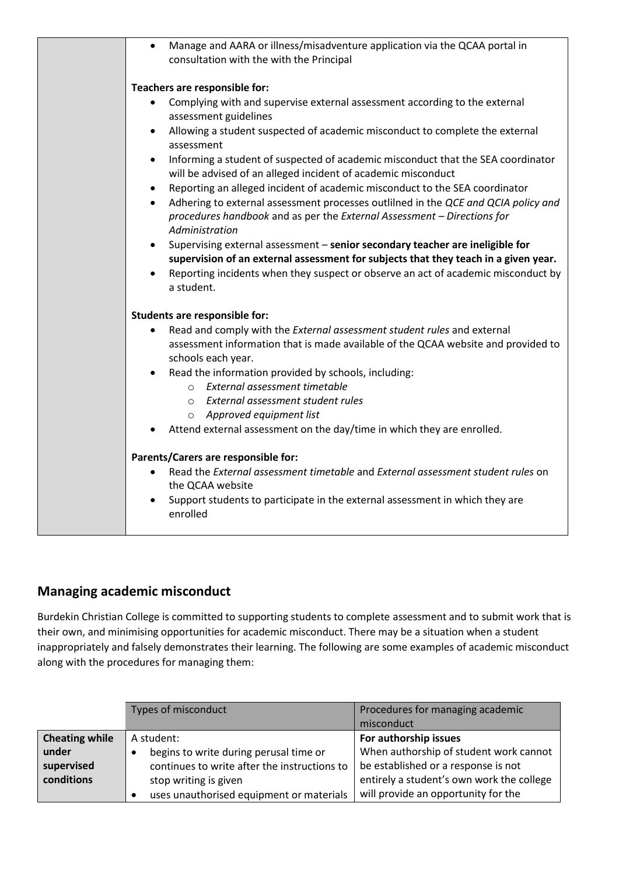| Manage and AARA or illness/misadventure application via the QCAA portal in<br>$\bullet$<br>consultation with the with the Principal                                                             |
|-------------------------------------------------------------------------------------------------------------------------------------------------------------------------------------------------|
| Teachers are responsible for:                                                                                                                                                                   |
| Complying with and supervise external assessment according to the external<br>$\bullet$<br>assessment guidelines                                                                                |
| Allowing a student suspected of academic misconduct to complete the external<br>assessment                                                                                                      |
| Informing a student of suspected of academic misconduct that the SEA coordinator<br>$\bullet$<br>will be advised of an alleged incident of academic misconduct                                  |
| Reporting an alleged incident of academic misconduct to the SEA coordinator<br>٠                                                                                                                |
| Adhering to external assessment processes outlilned in the QCE and QCIA policy and<br>$\bullet$<br>procedures handbook and as per the External Assessment - Directions for<br>Administration    |
| Supervising external assessment - senior secondary teacher are ineligible for<br>$\bullet$<br>supervision of an external assessment for subjects that they teach in a given year.               |
| Reporting incidents when they suspect or observe an act of academic misconduct by<br>a student.                                                                                                 |
| <b>Students are responsible for:</b>                                                                                                                                                            |
| Read and comply with the External assessment student rules and external<br>$\bullet$<br>assessment information that is made available of the QCAA website and provided to<br>schools each year. |
| Read the information provided by schools, including:<br>$\bullet$                                                                                                                               |
| External assessment timetable<br>$\circ$                                                                                                                                                        |
| o External assessment student rules                                                                                                                                                             |
| o Approved equipment list<br>Attend external assessment on the day/time in which they are enrolled.                                                                                             |
|                                                                                                                                                                                                 |
| Parents/Carers are responsible for:                                                                                                                                                             |
| Read the External assessment timetable and External assessment student rules on<br>the QCAA website                                                                                             |
| Support students to participate in the external assessment in which they are<br>enrolled                                                                                                        |

## **Managing academic misconduct**

Burdekin Christian College is committed to supporting students to complete assessment and to submit work that is their own, and minimising opportunities for academic misconduct. There may be a situation when a student inappropriately and falsely demonstrates their learning. The following are some examples of academic misconduct along with the procedures for managing them:

|                       | Types of misconduct                          | Procedures for managing academic<br>misconduct |
|-----------------------|----------------------------------------------|------------------------------------------------|
| <b>Cheating while</b> | A student:                                   | For authorship issues                          |
| under                 | begins to write during perusal time or       | When authorship of student work cannot         |
| supervised            | continues to write after the instructions to | be established or a response is not            |
| conditions            | stop writing is given                        | entirely a student's own work the college      |
|                       | uses unauthorised equipment or materials     | will provide an opportunity for the            |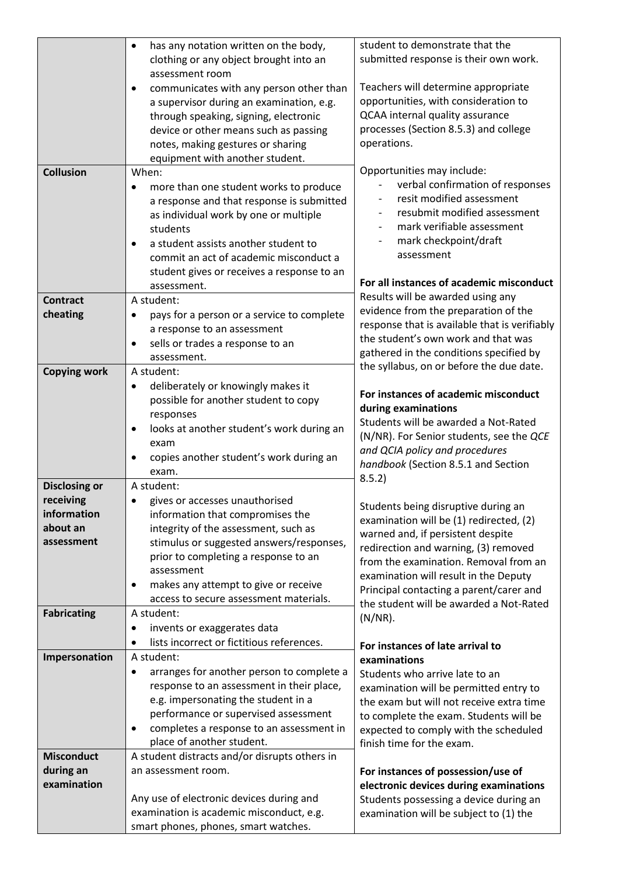| clothing or any object brought into an<br>assessment room<br>Teachers will determine appropriate<br>communicates with any person other than<br>$\bullet$<br>opportunities, with consideration to<br>a supervisor during an examination, e.g.<br>QCAA internal quality assurance<br>through speaking, signing, electronic<br>processes (Section 8.5.3) and college<br>device or other means such as passing<br>operations.<br>notes, making gestures or sharing<br>equipment with another student.<br>Opportunities may include:<br><b>Collusion</b><br>When:<br>verbal confirmation of responses<br>more than one student works to produce<br>$\bullet$<br>resit modified assessment<br>a response and that response is submitted<br>resubmit modified assessment<br>as individual work by one or multiple<br>mark verifiable assessment<br>students<br>mark checkpoint/draft<br>a student assists another student to<br>٠<br>assessment<br>commit an act of academic misconduct a<br>student gives or receives a response to an<br>For all instances of academic misconduct<br>assessment.<br>Results will be awarded using any<br><b>Contract</b><br>A student:<br>evidence from the preparation of the<br>cheating<br>pays for a person or a service to complete<br>٠<br>response that is available that is verifiably<br>a response to an assessment<br>the student's own work and that was<br>sells or trades a response to an<br>$\bullet$<br>gathered in the conditions specified by<br>assessment.<br>the syllabus, on or before the due date.<br><b>Copying work</b><br>A student:<br>deliberately or knowingly makes it<br>٠<br>For instances of academic misconduct<br>possible for another student to copy<br>during examinations<br>responses<br>Students will be awarded a Not-Rated<br>looks at another student's work during an<br>(N/NR). For Senior students, see the QCE<br>exam<br>and QCIA policy and procedures<br>copies another student's work during an<br>handbook (Section 8.5.1 and Section<br>exam.<br>8.5.2)<br><b>Disclosing or</b><br>A student:<br>receiving<br>gives or accesses unauthorised<br>Students being disruptive during an<br>information<br>information that compromises the<br>examination will be (1) redirected, (2)<br>about an<br>integrity of the assessment, such as<br>warned and, if persistent despite<br>stimulus or suggested answers/responses,<br>assessment<br>redirection and warning, (3) removed<br>prior to completing a response to an<br>from the examination. Removal from an<br>assessment<br>examination will result in the Deputy<br>makes any attempt to give or receive<br>Principal contacting a parent/carer and<br>access to secure assessment materials.<br>the student will be awarded a Not-Rated<br><b>Fabricating</b><br>A student:<br>$(N/NR)$ .<br>invents or exaggerates data<br>lists incorrect or fictitious references.<br>For instances of late arrival to<br>Impersonation<br>A student:<br>examinations<br>arranges for another person to complete a<br>٠<br>Students who arrive late to an<br>response to an assessment in their place,<br>examination will be permitted entry to<br>e.g. impersonating the student in a<br>the exam but will not receive extra time<br>performance or supervised assessment<br>to complete the exam. Students will be<br>completes a response to an assessment in<br>expected to comply with the scheduled<br>place of another student.<br>finish time for the exam.<br><b>Misconduct</b><br>A student distracts and/or disrupts others in<br>during an<br>an assessment room.<br>For instances of possession/use of<br>examination<br>electronic devices during examinations<br>Any use of electronic devices during and<br>Students possessing a device during an<br>examination is academic misconduct, e.g.<br>examination will be subject to (1) the<br>smart phones, phones, smart watches. | has any notation written on the body, | student to demonstrate that the       |
|------------------------------------------------------------------------------------------------------------------------------------------------------------------------------------------------------------------------------------------------------------------------------------------------------------------------------------------------------------------------------------------------------------------------------------------------------------------------------------------------------------------------------------------------------------------------------------------------------------------------------------------------------------------------------------------------------------------------------------------------------------------------------------------------------------------------------------------------------------------------------------------------------------------------------------------------------------------------------------------------------------------------------------------------------------------------------------------------------------------------------------------------------------------------------------------------------------------------------------------------------------------------------------------------------------------------------------------------------------------------------------------------------------------------------------------------------------------------------------------------------------------------------------------------------------------------------------------------------------------------------------------------------------------------------------------------------------------------------------------------------------------------------------------------------------------------------------------------------------------------------------------------------------------------------------------------------------------------------------------------------------------------------------------------------------------------------------------------------------------------------------------------------------------------------------------------------------------------------------------------------------------------------------------------------------------------------------------------------------------------------------------------------------------------------------------------------------------------------------------------------------------------------------------------------------------------------------------------------------------------------------------------------------------------------------------------------------------------------------------------------------------------------------------------------------------------------------------------------------------------------------------------------------------------------------------------------------------------------------------------------------------------------------------------------------------------------------------------------------------------------------------------------------------------------------------------------------------------------------------------------------------------------------------------------------------------------------------------------------------------------------------------------------------------------------------------------------------------------------------------------------------------------------------------------------------------------------------------------------------------------------------------------------------------------------------------------------------------------------------------------------------------------------------------------------------------------------------------------------------------------------------------------------------------------|---------------------------------------|---------------------------------------|
|                                                                                                                                                                                                                                                                                                                                                                                                                                                                                                                                                                                                                                                                                                                                                                                                                                                                                                                                                                                                                                                                                                                                                                                                                                                                                                                                                                                                                                                                                                                                                                                                                                                                                                                                                                                                                                                                                                                                                                                                                                                                                                                                                                                                                                                                                                                                                                                                                                                                                                                                                                                                                                                                                                                                                                                                                                                                                                                                                                                                                                                                                                                                                                                                                                                                                                                                                                                                                                                                                                                                                                                                                                                                                                                                                                                                                                                                                                                              |                                       | submitted response is their own work. |
|                                                                                                                                                                                                                                                                                                                                                                                                                                                                                                                                                                                                                                                                                                                                                                                                                                                                                                                                                                                                                                                                                                                                                                                                                                                                                                                                                                                                                                                                                                                                                                                                                                                                                                                                                                                                                                                                                                                                                                                                                                                                                                                                                                                                                                                                                                                                                                                                                                                                                                                                                                                                                                                                                                                                                                                                                                                                                                                                                                                                                                                                                                                                                                                                                                                                                                                                                                                                                                                                                                                                                                                                                                                                                                                                                                                                                                                                                                                              |                                       |                                       |
|                                                                                                                                                                                                                                                                                                                                                                                                                                                                                                                                                                                                                                                                                                                                                                                                                                                                                                                                                                                                                                                                                                                                                                                                                                                                                                                                                                                                                                                                                                                                                                                                                                                                                                                                                                                                                                                                                                                                                                                                                                                                                                                                                                                                                                                                                                                                                                                                                                                                                                                                                                                                                                                                                                                                                                                                                                                                                                                                                                                                                                                                                                                                                                                                                                                                                                                                                                                                                                                                                                                                                                                                                                                                                                                                                                                                                                                                                                                              |                                       |                                       |
|                                                                                                                                                                                                                                                                                                                                                                                                                                                                                                                                                                                                                                                                                                                                                                                                                                                                                                                                                                                                                                                                                                                                                                                                                                                                                                                                                                                                                                                                                                                                                                                                                                                                                                                                                                                                                                                                                                                                                                                                                                                                                                                                                                                                                                                                                                                                                                                                                                                                                                                                                                                                                                                                                                                                                                                                                                                                                                                                                                                                                                                                                                                                                                                                                                                                                                                                                                                                                                                                                                                                                                                                                                                                                                                                                                                                                                                                                                                              |                                       |                                       |
|                                                                                                                                                                                                                                                                                                                                                                                                                                                                                                                                                                                                                                                                                                                                                                                                                                                                                                                                                                                                                                                                                                                                                                                                                                                                                                                                                                                                                                                                                                                                                                                                                                                                                                                                                                                                                                                                                                                                                                                                                                                                                                                                                                                                                                                                                                                                                                                                                                                                                                                                                                                                                                                                                                                                                                                                                                                                                                                                                                                                                                                                                                                                                                                                                                                                                                                                                                                                                                                                                                                                                                                                                                                                                                                                                                                                                                                                                                                              |                                       |                                       |
|                                                                                                                                                                                                                                                                                                                                                                                                                                                                                                                                                                                                                                                                                                                                                                                                                                                                                                                                                                                                                                                                                                                                                                                                                                                                                                                                                                                                                                                                                                                                                                                                                                                                                                                                                                                                                                                                                                                                                                                                                                                                                                                                                                                                                                                                                                                                                                                                                                                                                                                                                                                                                                                                                                                                                                                                                                                                                                                                                                                                                                                                                                                                                                                                                                                                                                                                                                                                                                                                                                                                                                                                                                                                                                                                                                                                                                                                                                                              |                                       |                                       |
|                                                                                                                                                                                                                                                                                                                                                                                                                                                                                                                                                                                                                                                                                                                                                                                                                                                                                                                                                                                                                                                                                                                                                                                                                                                                                                                                                                                                                                                                                                                                                                                                                                                                                                                                                                                                                                                                                                                                                                                                                                                                                                                                                                                                                                                                                                                                                                                                                                                                                                                                                                                                                                                                                                                                                                                                                                                                                                                                                                                                                                                                                                                                                                                                                                                                                                                                                                                                                                                                                                                                                                                                                                                                                                                                                                                                                                                                                                                              |                                       |                                       |
|                                                                                                                                                                                                                                                                                                                                                                                                                                                                                                                                                                                                                                                                                                                                                                                                                                                                                                                                                                                                                                                                                                                                                                                                                                                                                                                                                                                                                                                                                                                                                                                                                                                                                                                                                                                                                                                                                                                                                                                                                                                                                                                                                                                                                                                                                                                                                                                                                                                                                                                                                                                                                                                                                                                                                                                                                                                                                                                                                                                                                                                                                                                                                                                                                                                                                                                                                                                                                                                                                                                                                                                                                                                                                                                                                                                                                                                                                                                              |                                       |                                       |
|                                                                                                                                                                                                                                                                                                                                                                                                                                                                                                                                                                                                                                                                                                                                                                                                                                                                                                                                                                                                                                                                                                                                                                                                                                                                                                                                                                                                                                                                                                                                                                                                                                                                                                                                                                                                                                                                                                                                                                                                                                                                                                                                                                                                                                                                                                                                                                                                                                                                                                                                                                                                                                                                                                                                                                                                                                                                                                                                                                                                                                                                                                                                                                                                                                                                                                                                                                                                                                                                                                                                                                                                                                                                                                                                                                                                                                                                                                                              |                                       |                                       |
|                                                                                                                                                                                                                                                                                                                                                                                                                                                                                                                                                                                                                                                                                                                                                                                                                                                                                                                                                                                                                                                                                                                                                                                                                                                                                                                                                                                                                                                                                                                                                                                                                                                                                                                                                                                                                                                                                                                                                                                                                                                                                                                                                                                                                                                                                                                                                                                                                                                                                                                                                                                                                                                                                                                                                                                                                                                                                                                                                                                                                                                                                                                                                                                                                                                                                                                                                                                                                                                                                                                                                                                                                                                                                                                                                                                                                                                                                                                              |                                       |                                       |
|                                                                                                                                                                                                                                                                                                                                                                                                                                                                                                                                                                                                                                                                                                                                                                                                                                                                                                                                                                                                                                                                                                                                                                                                                                                                                                                                                                                                                                                                                                                                                                                                                                                                                                                                                                                                                                                                                                                                                                                                                                                                                                                                                                                                                                                                                                                                                                                                                                                                                                                                                                                                                                                                                                                                                                                                                                                                                                                                                                                                                                                                                                                                                                                                                                                                                                                                                                                                                                                                                                                                                                                                                                                                                                                                                                                                                                                                                                                              |                                       |                                       |
|                                                                                                                                                                                                                                                                                                                                                                                                                                                                                                                                                                                                                                                                                                                                                                                                                                                                                                                                                                                                                                                                                                                                                                                                                                                                                                                                                                                                                                                                                                                                                                                                                                                                                                                                                                                                                                                                                                                                                                                                                                                                                                                                                                                                                                                                                                                                                                                                                                                                                                                                                                                                                                                                                                                                                                                                                                                                                                                                                                                                                                                                                                                                                                                                                                                                                                                                                                                                                                                                                                                                                                                                                                                                                                                                                                                                                                                                                                                              |                                       |                                       |
|                                                                                                                                                                                                                                                                                                                                                                                                                                                                                                                                                                                                                                                                                                                                                                                                                                                                                                                                                                                                                                                                                                                                                                                                                                                                                                                                                                                                                                                                                                                                                                                                                                                                                                                                                                                                                                                                                                                                                                                                                                                                                                                                                                                                                                                                                                                                                                                                                                                                                                                                                                                                                                                                                                                                                                                                                                                                                                                                                                                                                                                                                                                                                                                                                                                                                                                                                                                                                                                                                                                                                                                                                                                                                                                                                                                                                                                                                                                              |                                       |                                       |
|                                                                                                                                                                                                                                                                                                                                                                                                                                                                                                                                                                                                                                                                                                                                                                                                                                                                                                                                                                                                                                                                                                                                                                                                                                                                                                                                                                                                                                                                                                                                                                                                                                                                                                                                                                                                                                                                                                                                                                                                                                                                                                                                                                                                                                                                                                                                                                                                                                                                                                                                                                                                                                                                                                                                                                                                                                                                                                                                                                                                                                                                                                                                                                                                                                                                                                                                                                                                                                                                                                                                                                                                                                                                                                                                                                                                                                                                                                                              |                                       |                                       |
|                                                                                                                                                                                                                                                                                                                                                                                                                                                                                                                                                                                                                                                                                                                                                                                                                                                                                                                                                                                                                                                                                                                                                                                                                                                                                                                                                                                                                                                                                                                                                                                                                                                                                                                                                                                                                                                                                                                                                                                                                                                                                                                                                                                                                                                                                                                                                                                                                                                                                                                                                                                                                                                                                                                                                                                                                                                                                                                                                                                                                                                                                                                                                                                                                                                                                                                                                                                                                                                                                                                                                                                                                                                                                                                                                                                                                                                                                                                              |                                       |                                       |
|                                                                                                                                                                                                                                                                                                                                                                                                                                                                                                                                                                                                                                                                                                                                                                                                                                                                                                                                                                                                                                                                                                                                                                                                                                                                                                                                                                                                                                                                                                                                                                                                                                                                                                                                                                                                                                                                                                                                                                                                                                                                                                                                                                                                                                                                                                                                                                                                                                                                                                                                                                                                                                                                                                                                                                                                                                                                                                                                                                                                                                                                                                                                                                                                                                                                                                                                                                                                                                                                                                                                                                                                                                                                                                                                                                                                                                                                                                                              |                                       |                                       |
|                                                                                                                                                                                                                                                                                                                                                                                                                                                                                                                                                                                                                                                                                                                                                                                                                                                                                                                                                                                                                                                                                                                                                                                                                                                                                                                                                                                                                                                                                                                                                                                                                                                                                                                                                                                                                                                                                                                                                                                                                                                                                                                                                                                                                                                                                                                                                                                                                                                                                                                                                                                                                                                                                                                                                                                                                                                                                                                                                                                                                                                                                                                                                                                                                                                                                                                                                                                                                                                                                                                                                                                                                                                                                                                                                                                                                                                                                                                              |                                       |                                       |
|                                                                                                                                                                                                                                                                                                                                                                                                                                                                                                                                                                                                                                                                                                                                                                                                                                                                                                                                                                                                                                                                                                                                                                                                                                                                                                                                                                                                                                                                                                                                                                                                                                                                                                                                                                                                                                                                                                                                                                                                                                                                                                                                                                                                                                                                                                                                                                                                                                                                                                                                                                                                                                                                                                                                                                                                                                                                                                                                                                                                                                                                                                                                                                                                                                                                                                                                                                                                                                                                                                                                                                                                                                                                                                                                                                                                                                                                                                                              |                                       |                                       |
|                                                                                                                                                                                                                                                                                                                                                                                                                                                                                                                                                                                                                                                                                                                                                                                                                                                                                                                                                                                                                                                                                                                                                                                                                                                                                                                                                                                                                                                                                                                                                                                                                                                                                                                                                                                                                                                                                                                                                                                                                                                                                                                                                                                                                                                                                                                                                                                                                                                                                                                                                                                                                                                                                                                                                                                                                                                                                                                                                                                                                                                                                                                                                                                                                                                                                                                                                                                                                                                                                                                                                                                                                                                                                                                                                                                                                                                                                                                              |                                       |                                       |
|                                                                                                                                                                                                                                                                                                                                                                                                                                                                                                                                                                                                                                                                                                                                                                                                                                                                                                                                                                                                                                                                                                                                                                                                                                                                                                                                                                                                                                                                                                                                                                                                                                                                                                                                                                                                                                                                                                                                                                                                                                                                                                                                                                                                                                                                                                                                                                                                                                                                                                                                                                                                                                                                                                                                                                                                                                                                                                                                                                                                                                                                                                                                                                                                                                                                                                                                                                                                                                                                                                                                                                                                                                                                                                                                                                                                                                                                                                                              |                                       |                                       |
|                                                                                                                                                                                                                                                                                                                                                                                                                                                                                                                                                                                                                                                                                                                                                                                                                                                                                                                                                                                                                                                                                                                                                                                                                                                                                                                                                                                                                                                                                                                                                                                                                                                                                                                                                                                                                                                                                                                                                                                                                                                                                                                                                                                                                                                                                                                                                                                                                                                                                                                                                                                                                                                                                                                                                                                                                                                                                                                                                                                                                                                                                                                                                                                                                                                                                                                                                                                                                                                                                                                                                                                                                                                                                                                                                                                                                                                                                                                              |                                       |                                       |
|                                                                                                                                                                                                                                                                                                                                                                                                                                                                                                                                                                                                                                                                                                                                                                                                                                                                                                                                                                                                                                                                                                                                                                                                                                                                                                                                                                                                                                                                                                                                                                                                                                                                                                                                                                                                                                                                                                                                                                                                                                                                                                                                                                                                                                                                                                                                                                                                                                                                                                                                                                                                                                                                                                                                                                                                                                                                                                                                                                                                                                                                                                                                                                                                                                                                                                                                                                                                                                                                                                                                                                                                                                                                                                                                                                                                                                                                                                                              |                                       |                                       |
|                                                                                                                                                                                                                                                                                                                                                                                                                                                                                                                                                                                                                                                                                                                                                                                                                                                                                                                                                                                                                                                                                                                                                                                                                                                                                                                                                                                                                                                                                                                                                                                                                                                                                                                                                                                                                                                                                                                                                                                                                                                                                                                                                                                                                                                                                                                                                                                                                                                                                                                                                                                                                                                                                                                                                                                                                                                                                                                                                                                                                                                                                                                                                                                                                                                                                                                                                                                                                                                                                                                                                                                                                                                                                                                                                                                                                                                                                                                              |                                       |                                       |
|                                                                                                                                                                                                                                                                                                                                                                                                                                                                                                                                                                                                                                                                                                                                                                                                                                                                                                                                                                                                                                                                                                                                                                                                                                                                                                                                                                                                                                                                                                                                                                                                                                                                                                                                                                                                                                                                                                                                                                                                                                                                                                                                                                                                                                                                                                                                                                                                                                                                                                                                                                                                                                                                                                                                                                                                                                                                                                                                                                                                                                                                                                                                                                                                                                                                                                                                                                                                                                                                                                                                                                                                                                                                                                                                                                                                                                                                                                                              |                                       |                                       |
|                                                                                                                                                                                                                                                                                                                                                                                                                                                                                                                                                                                                                                                                                                                                                                                                                                                                                                                                                                                                                                                                                                                                                                                                                                                                                                                                                                                                                                                                                                                                                                                                                                                                                                                                                                                                                                                                                                                                                                                                                                                                                                                                                                                                                                                                                                                                                                                                                                                                                                                                                                                                                                                                                                                                                                                                                                                                                                                                                                                                                                                                                                                                                                                                                                                                                                                                                                                                                                                                                                                                                                                                                                                                                                                                                                                                                                                                                                                              |                                       |                                       |
|                                                                                                                                                                                                                                                                                                                                                                                                                                                                                                                                                                                                                                                                                                                                                                                                                                                                                                                                                                                                                                                                                                                                                                                                                                                                                                                                                                                                                                                                                                                                                                                                                                                                                                                                                                                                                                                                                                                                                                                                                                                                                                                                                                                                                                                                                                                                                                                                                                                                                                                                                                                                                                                                                                                                                                                                                                                                                                                                                                                                                                                                                                                                                                                                                                                                                                                                                                                                                                                                                                                                                                                                                                                                                                                                                                                                                                                                                                                              |                                       |                                       |
|                                                                                                                                                                                                                                                                                                                                                                                                                                                                                                                                                                                                                                                                                                                                                                                                                                                                                                                                                                                                                                                                                                                                                                                                                                                                                                                                                                                                                                                                                                                                                                                                                                                                                                                                                                                                                                                                                                                                                                                                                                                                                                                                                                                                                                                                                                                                                                                                                                                                                                                                                                                                                                                                                                                                                                                                                                                                                                                                                                                                                                                                                                                                                                                                                                                                                                                                                                                                                                                                                                                                                                                                                                                                                                                                                                                                                                                                                                                              |                                       |                                       |
|                                                                                                                                                                                                                                                                                                                                                                                                                                                                                                                                                                                                                                                                                                                                                                                                                                                                                                                                                                                                                                                                                                                                                                                                                                                                                                                                                                                                                                                                                                                                                                                                                                                                                                                                                                                                                                                                                                                                                                                                                                                                                                                                                                                                                                                                                                                                                                                                                                                                                                                                                                                                                                                                                                                                                                                                                                                                                                                                                                                                                                                                                                                                                                                                                                                                                                                                                                                                                                                                                                                                                                                                                                                                                                                                                                                                                                                                                                                              |                                       |                                       |
|                                                                                                                                                                                                                                                                                                                                                                                                                                                                                                                                                                                                                                                                                                                                                                                                                                                                                                                                                                                                                                                                                                                                                                                                                                                                                                                                                                                                                                                                                                                                                                                                                                                                                                                                                                                                                                                                                                                                                                                                                                                                                                                                                                                                                                                                                                                                                                                                                                                                                                                                                                                                                                                                                                                                                                                                                                                                                                                                                                                                                                                                                                                                                                                                                                                                                                                                                                                                                                                                                                                                                                                                                                                                                                                                                                                                                                                                                                                              |                                       |                                       |
|                                                                                                                                                                                                                                                                                                                                                                                                                                                                                                                                                                                                                                                                                                                                                                                                                                                                                                                                                                                                                                                                                                                                                                                                                                                                                                                                                                                                                                                                                                                                                                                                                                                                                                                                                                                                                                                                                                                                                                                                                                                                                                                                                                                                                                                                                                                                                                                                                                                                                                                                                                                                                                                                                                                                                                                                                                                                                                                                                                                                                                                                                                                                                                                                                                                                                                                                                                                                                                                                                                                                                                                                                                                                                                                                                                                                                                                                                                                              |                                       |                                       |
|                                                                                                                                                                                                                                                                                                                                                                                                                                                                                                                                                                                                                                                                                                                                                                                                                                                                                                                                                                                                                                                                                                                                                                                                                                                                                                                                                                                                                                                                                                                                                                                                                                                                                                                                                                                                                                                                                                                                                                                                                                                                                                                                                                                                                                                                                                                                                                                                                                                                                                                                                                                                                                                                                                                                                                                                                                                                                                                                                                                                                                                                                                                                                                                                                                                                                                                                                                                                                                                                                                                                                                                                                                                                                                                                                                                                                                                                                                                              |                                       |                                       |
|                                                                                                                                                                                                                                                                                                                                                                                                                                                                                                                                                                                                                                                                                                                                                                                                                                                                                                                                                                                                                                                                                                                                                                                                                                                                                                                                                                                                                                                                                                                                                                                                                                                                                                                                                                                                                                                                                                                                                                                                                                                                                                                                                                                                                                                                                                                                                                                                                                                                                                                                                                                                                                                                                                                                                                                                                                                                                                                                                                                                                                                                                                                                                                                                                                                                                                                                                                                                                                                                                                                                                                                                                                                                                                                                                                                                                                                                                                                              |                                       |                                       |
|                                                                                                                                                                                                                                                                                                                                                                                                                                                                                                                                                                                                                                                                                                                                                                                                                                                                                                                                                                                                                                                                                                                                                                                                                                                                                                                                                                                                                                                                                                                                                                                                                                                                                                                                                                                                                                                                                                                                                                                                                                                                                                                                                                                                                                                                                                                                                                                                                                                                                                                                                                                                                                                                                                                                                                                                                                                                                                                                                                                                                                                                                                                                                                                                                                                                                                                                                                                                                                                                                                                                                                                                                                                                                                                                                                                                                                                                                                                              |                                       |                                       |
|                                                                                                                                                                                                                                                                                                                                                                                                                                                                                                                                                                                                                                                                                                                                                                                                                                                                                                                                                                                                                                                                                                                                                                                                                                                                                                                                                                                                                                                                                                                                                                                                                                                                                                                                                                                                                                                                                                                                                                                                                                                                                                                                                                                                                                                                                                                                                                                                                                                                                                                                                                                                                                                                                                                                                                                                                                                                                                                                                                                                                                                                                                                                                                                                                                                                                                                                                                                                                                                                                                                                                                                                                                                                                                                                                                                                                                                                                                                              |                                       |                                       |
|                                                                                                                                                                                                                                                                                                                                                                                                                                                                                                                                                                                                                                                                                                                                                                                                                                                                                                                                                                                                                                                                                                                                                                                                                                                                                                                                                                                                                                                                                                                                                                                                                                                                                                                                                                                                                                                                                                                                                                                                                                                                                                                                                                                                                                                                                                                                                                                                                                                                                                                                                                                                                                                                                                                                                                                                                                                                                                                                                                                                                                                                                                                                                                                                                                                                                                                                                                                                                                                                                                                                                                                                                                                                                                                                                                                                                                                                                                                              |                                       |                                       |
|                                                                                                                                                                                                                                                                                                                                                                                                                                                                                                                                                                                                                                                                                                                                                                                                                                                                                                                                                                                                                                                                                                                                                                                                                                                                                                                                                                                                                                                                                                                                                                                                                                                                                                                                                                                                                                                                                                                                                                                                                                                                                                                                                                                                                                                                                                                                                                                                                                                                                                                                                                                                                                                                                                                                                                                                                                                                                                                                                                                                                                                                                                                                                                                                                                                                                                                                                                                                                                                                                                                                                                                                                                                                                                                                                                                                                                                                                                                              |                                       |                                       |
|                                                                                                                                                                                                                                                                                                                                                                                                                                                                                                                                                                                                                                                                                                                                                                                                                                                                                                                                                                                                                                                                                                                                                                                                                                                                                                                                                                                                                                                                                                                                                                                                                                                                                                                                                                                                                                                                                                                                                                                                                                                                                                                                                                                                                                                                                                                                                                                                                                                                                                                                                                                                                                                                                                                                                                                                                                                                                                                                                                                                                                                                                                                                                                                                                                                                                                                                                                                                                                                                                                                                                                                                                                                                                                                                                                                                                                                                                                                              |                                       |                                       |
|                                                                                                                                                                                                                                                                                                                                                                                                                                                                                                                                                                                                                                                                                                                                                                                                                                                                                                                                                                                                                                                                                                                                                                                                                                                                                                                                                                                                                                                                                                                                                                                                                                                                                                                                                                                                                                                                                                                                                                                                                                                                                                                                                                                                                                                                                                                                                                                                                                                                                                                                                                                                                                                                                                                                                                                                                                                                                                                                                                                                                                                                                                                                                                                                                                                                                                                                                                                                                                                                                                                                                                                                                                                                                                                                                                                                                                                                                                                              |                                       |                                       |
|                                                                                                                                                                                                                                                                                                                                                                                                                                                                                                                                                                                                                                                                                                                                                                                                                                                                                                                                                                                                                                                                                                                                                                                                                                                                                                                                                                                                                                                                                                                                                                                                                                                                                                                                                                                                                                                                                                                                                                                                                                                                                                                                                                                                                                                                                                                                                                                                                                                                                                                                                                                                                                                                                                                                                                                                                                                                                                                                                                                                                                                                                                                                                                                                                                                                                                                                                                                                                                                                                                                                                                                                                                                                                                                                                                                                                                                                                                                              |                                       |                                       |
|                                                                                                                                                                                                                                                                                                                                                                                                                                                                                                                                                                                                                                                                                                                                                                                                                                                                                                                                                                                                                                                                                                                                                                                                                                                                                                                                                                                                                                                                                                                                                                                                                                                                                                                                                                                                                                                                                                                                                                                                                                                                                                                                                                                                                                                                                                                                                                                                                                                                                                                                                                                                                                                                                                                                                                                                                                                                                                                                                                                                                                                                                                                                                                                                                                                                                                                                                                                                                                                                                                                                                                                                                                                                                                                                                                                                                                                                                                                              |                                       |                                       |
|                                                                                                                                                                                                                                                                                                                                                                                                                                                                                                                                                                                                                                                                                                                                                                                                                                                                                                                                                                                                                                                                                                                                                                                                                                                                                                                                                                                                                                                                                                                                                                                                                                                                                                                                                                                                                                                                                                                                                                                                                                                                                                                                                                                                                                                                                                                                                                                                                                                                                                                                                                                                                                                                                                                                                                                                                                                                                                                                                                                                                                                                                                                                                                                                                                                                                                                                                                                                                                                                                                                                                                                                                                                                                                                                                                                                                                                                                                                              |                                       |                                       |
|                                                                                                                                                                                                                                                                                                                                                                                                                                                                                                                                                                                                                                                                                                                                                                                                                                                                                                                                                                                                                                                                                                                                                                                                                                                                                                                                                                                                                                                                                                                                                                                                                                                                                                                                                                                                                                                                                                                                                                                                                                                                                                                                                                                                                                                                                                                                                                                                                                                                                                                                                                                                                                                                                                                                                                                                                                                                                                                                                                                                                                                                                                                                                                                                                                                                                                                                                                                                                                                                                                                                                                                                                                                                                                                                                                                                                                                                                                                              |                                       |                                       |
|                                                                                                                                                                                                                                                                                                                                                                                                                                                                                                                                                                                                                                                                                                                                                                                                                                                                                                                                                                                                                                                                                                                                                                                                                                                                                                                                                                                                                                                                                                                                                                                                                                                                                                                                                                                                                                                                                                                                                                                                                                                                                                                                                                                                                                                                                                                                                                                                                                                                                                                                                                                                                                                                                                                                                                                                                                                                                                                                                                                                                                                                                                                                                                                                                                                                                                                                                                                                                                                                                                                                                                                                                                                                                                                                                                                                                                                                                                                              |                                       |                                       |
|                                                                                                                                                                                                                                                                                                                                                                                                                                                                                                                                                                                                                                                                                                                                                                                                                                                                                                                                                                                                                                                                                                                                                                                                                                                                                                                                                                                                                                                                                                                                                                                                                                                                                                                                                                                                                                                                                                                                                                                                                                                                                                                                                                                                                                                                                                                                                                                                                                                                                                                                                                                                                                                                                                                                                                                                                                                                                                                                                                                                                                                                                                                                                                                                                                                                                                                                                                                                                                                                                                                                                                                                                                                                                                                                                                                                                                                                                                                              |                                       |                                       |
|                                                                                                                                                                                                                                                                                                                                                                                                                                                                                                                                                                                                                                                                                                                                                                                                                                                                                                                                                                                                                                                                                                                                                                                                                                                                                                                                                                                                                                                                                                                                                                                                                                                                                                                                                                                                                                                                                                                                                                                                                                                                                                                                                                                                                                                                                                                                                                                                                                                                                                                                                                                                                                                                                                                                                                                                                                                                                                                                                                                                                                                                                                                                                                                                                                                                                                                                                                                                                                                                                                                                                                                                                                                                                                                                                                                                                                                                                                                              |                                       |                                       |
|                                                                                                                                                                                                                                                                                                                                                                                                                                                                                                                                                                                                                                                                                                                                                                                                                                                                                                                                                                                                                                                                                                                                                                                                                                                                                                                                                                                                                                                                                                                                                                                                                                                                                                                                                                                                                                                                                                                                                                                                                                                                                                                                                                                                                                                                                                                                                                                                                                                                                                                                                                                                                                                                                                                                                                                                                                                                                                                                                                                                                                                                                                                                                                                                                                                                                                                                                                                                                                                                                                                                                                                                                                                                                                                                                                                                                                                                                                                              |                                       |                                       |
|                                                                                                                                                                                                                                                                                                                                                                                                                                                                                                                                                                                                                                                                                                                                                                                                                                                                                                                                                                                                                                                                                                                                                                                                                                                                                                                                                                                                                                                                                                                                                                                                                                                                                                                                                                                                                                                                                                                                                                                                                                                                                                                                                                                                                                                                                                                                                                                                                                                                                                                                                                                                                                                                                                                                                                                                                                                                                                                                                                                                                                                                                                                                                                                                                                                                                                                                                                                                                                                                                                                                                                                                                                                                                                                                                                                                                                                                                                                              |                                       |                                       |
|                                                                                                                                                                                                                                                                                                                                                                                                                                                                                                                                                                                                                                                                                                                                                                                                                                                                                                                                                                                                                                                                                                                                                                                                                                                                                                                                                                                                                                                                                                                                                                                                                                                                                                                                                                                                                                                                                                                                                                                                                                                                                                                                                                                                                                                                                                                                                                                                                                                                                                                                                                                                                                                                                                                                                                                                                                                                                                                                                                                                                                                                                                                                                                                                                                                                                                                                                                                                                                                                                                                                                                                                                                                                                                                                                                                                                                                                                                                              |                                       |                                       |
|                                                                                                                                                                                                                                                                                                                                                                                                                                                                                                                                                                                                                                                                                                                                                                                                                                                                                                                                                                                                                                                                                                                                                                                                                                                                                                                                                                                                                                                                                                                                                                                                                                                                                                                                                                                                                                                                                                                                                                                                                                                                                                                                                                                                                                                                                                                                                                                                                                                                                                                                                                                                                                                                                                                                                                                                                                                                                                                                                                                                                                                                                                                                                                                                                                                                                                                                                                                                                                                                                                                                                                                                                                                                                                                                                                                                                                                                                                                              |                                       |                                       |
|                                                                                                                                                                                                                                                                                                                                                                                                                                                                                                                                                                                                                                                                                                                                                                                                                                                                                                                                                                                                                                                                                                                                                                                                                                                                                                                                                                                                                                                                                                                                                                                                                                                                                                                                                                                                                                                                                                                                                                                                                                                                                                                                                                                                                                                                                                                                                                                                                                                                                                                                                                                                                                                                                                                                                                                                                                                                                                                                                                                                                                                                                                                                                                                                                                                                                                                                                                                                                                                                                                                                                                                                                                                                                                                                                                                                                                                                                                                              |                                       |                                       |
|                                                                                                                                                                                                                                                                                                                                                                                                                                                                                                                                                                                                                                                                                                                                                                                                                                                                                                                                                                                                                                                                                                                                                                                                                                                                                                                                                                                                                                                                                                                                                                                                                                                                                                                                                                                                                                                                                                                                                                                                                                                                                                                                                                                                                                                                                                                                                                                                                                                                                                                                                                                                                                                                                                                                                                                                                                                                                                                                                                                                                                                                                                                                                                                                                                                                                                                                                                                                                                                                                                                                                                                                                                                                                                                                                                                                                                                                                                                              |                                       |                                       |
|                                                                                                                                                                                                                                                                                                                                                                                                                                                                                                                                                                                                                                                                                                                                                                                                                                                                                                                                                                                                                                                                                                                                                                                                                                                                                                                                                                                                                                                                                                                                                                                                                                                                                                                                                                                                                                                                                                                                                                                                                                                                                                                                                                                                                                                                                                                                                                                                                                                                                                                                                                                                                                                                                                                                                                                                                                                                                                                                                                                                                                                                                                                                                                                                                                                                                                                                                                                                                                                                                                                                                                                                                                                                                                                                                                                                                                                                                                                              |                                       |                                       |
|                                                                                                                                                                                                                                                                                                                                                                                                                                                                                                                                                                                                                                                                                                                                                                                                                                                                                                                                                                                                                                                                                                                                                                                                                                                                                                                                                                                                                                                                                                                                                                                                                                                                                                                                                                                                                                                                                                                                                                                                                                                                                                                                                                                                                                                                                                                                                                                                                                                                                                                                                                                                                                                                                                                                                                                                                                                                                                                                                                                                                                                                                                                                                                                                                                                                                                                                                                                                                                                                                                                                                                                                                                                                                                                                                                                                                                                                                                                              |                                       |                                       |
|                                                                                                                                                                                                                                                                                                                                                                                                                                                                                                                                                                                                                                                                                                                                                                                                                                                                                                                                                                                                                                                                                                                                                                                                                                                                                                                                                                                                                                                                                                                                                                                                                                                                                                                                                                                                                                                                                                                                                                                                                                                                                                                                                                                                                                                                                                                                                                                                                                                                                                                                                                                                                                                                                                                                                                                                                                                                                                                                                                                                                                                                                                                                                                                                                                                                                                                                                                                                                                                                                                                                                                                                                                                                                                                                                                                                                                                                                                                              |                                       |                                       |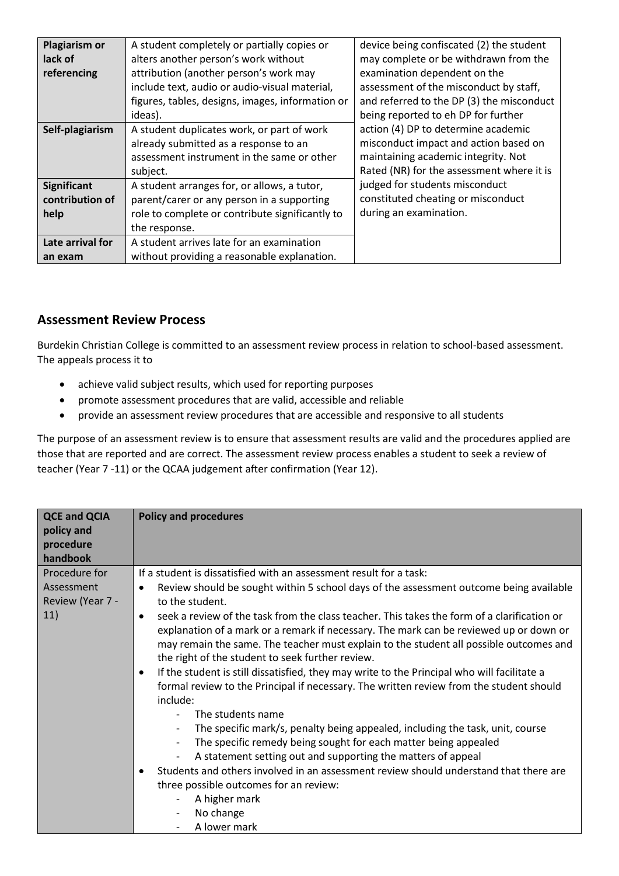| <b>Plagiarism or</b> | A student completely or partially copies or      | device being confiscated (2) the student  |
|----------------------|--------------------------------------------------|-------------------------------------------|
| lack of              | alters another person's work without             | may complete or be withdrawn from the     |
| referencing          | attribution (another person's work may           | examination dependent on the              |
|                      | include text, audio or audio-visual material,    | assessment of the misconduct by staff,    |
|                      | figures, tables, designs, images, information or | and referred to the DP (3) the misconduct |
|                      | ideas).                                          | being reported to eh DP for further       |
| Self-plagiarism      | A student duplicates work, or part of work       | action (4) DP to determine academic       |
|                      | already submitted as a response to an            | misconduct impact and action based on     |
|                      | assessment instrument in the same or other       | maintaining academic integrity. Not       |
|                      | subject.                                         | Rated (NR) for the assessment where it is |
| <b>Significant</b>   | A student arranges for, or allows, a tutor,      | judged for students misconduct            |
| contribution of      | parent/carer or any person in a supporting       | constituted cheating or misconduct        |
| help                 | role to complete or contribute significantly to  | during an examination.                    |
|                      | the response.                                    |                                           |
| Late arrival for     | A student arrives late for an examination        |                                           |
| an exam              | without providing a reasonable explanation.      |                                           |

### **Assessment Review Process**

Burdekin Christian College is committed to an assessment review process in relation to school-based assessment. The appeals process it to

- achieve valid subject results, which used for reporting purposes
- promote assessment procedures that are valid, accessible and reliable
- provide an assessment review procedures that are accessible and responsive to all students

The purpose of an assessment review is to ensure that assessment results are valid and the procedures applied are those that are reported and are correct. The assessment review process enables a student to seek a review of teacher (Year 7 -11) or the QCAA judgement after confirmation (Year 12).

| <b>QCE and QCIA</b><br>policy and<br>procedure<br>handbook | <b>Policy and procedures</b>                                                                                                                                                                                                                                                                                                                                                                                                                                                                                                                                |  |  |
|------------------------------------------------------------|-------------------------------------------------------------------------------------------------------------------------------------------------------------------------------------------------------------------------------------------------------------------------------------------------------------------------------------------------------------------------------------------------------------------------------------------------------------------------------------------------------------------------------------------------------------|--|--|
| Procedure for                                              | If a student is dissatisfied with an assessment result for a task:                                                                                                                                                                                                                                                                                                                                                                                                                                                                                          |  |  |
| Assessment<br>Review (Year 7 -                             | Review should be sought within 5 school days of the assessment outcome being available<br>to the student.                                                                                                                                                                                                                                                                                                                                                                                                                                                   |  |  |
| 11)                                                        | seek a review of the task from the class teacher. This takes the form of a clarification or<br>$\bullet$<br>explanation of a mark or a remark if necessary. The mark can be reviewed up or down or<br>may remain the same. The teacher must explain to the student all possible outcomes and<br>the right of the student to seek further review.<br>If the student is still dissatisfied, they may write to the Principal who will facilitate a<br>٠<br>formal review to the Principal if necessary. The written review from the student should<br>include: |  |  |
|                                                            | The students name                                                                                                                                                                                                                                                                                                                                                                                                                                                                                                                                           |  |  |
|                                                            | The specific mark/s, penalty being appealed, including the task, unit, course<br>$\overline{\phantom{a}}$<br>The specific remedy being sought for each matter being appealed<br>$\overline{\phantom{a}}$                                                                                                                                                                                                                                                                                                                                                    |  |  |
|                                                            | A statement setting out and supporting the matters of appeal                                                                                                                                                                                                                                                                                                                                                                                                                                                                                                |  |  |
|                                                            | Students and others involved in an assessment review should understand that there are                                                                                                                                                                                                                                                                                                                                                                                                                                                                       |  |  |
|                                                            | three possible outcomes for an review:                                                                                                                                                                                                                                                                                                                                                                                                                                                                                                                      |  |  |
|                                                            | A higher mark                                                                                                                                                                                                                                                                                                                                                                                                                                                                                                                                               |  |  |
|                                                            | No change<br>$\overline{\phantom{a}}$                                                                                                                                                                                                                                                                                                                                                                                                                                                                                                                       |  |  |
|                                                            | A lower mark                                                                                                                                                                                                                                                                                                                                                                                                                                                                                                                                                |  |  |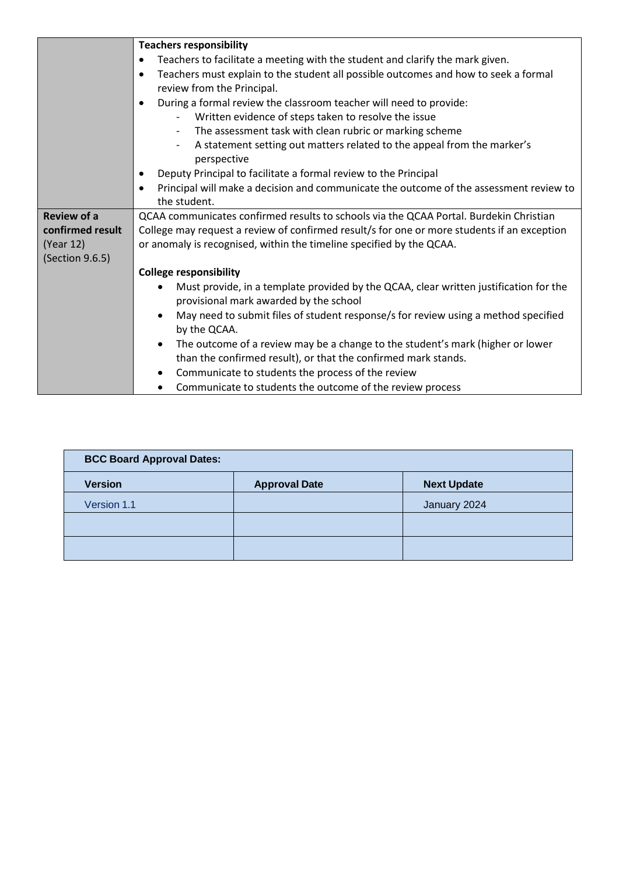| <b>Teachers responsibility</b>                                                                      |  |  |
|-----------------------------------------------------------------------------------------------------|--|--|
| Teachers to facilitate a meeting with the student and clarify the mark given.<br>$\bullet$          |  |  |
| Teachers must explain to the student all possible outcomes and how to seek a formal<br>$\bullet$    |  |  |
| review from the Principal.                                                                          |  |  |
| During a formal review the classroom teacher will need to provide:<br>$\bullet$                     |  |  |
| Written evidence of steps taken to resolve the issue                                                |  |  |
| The assessment task with clean rubric or marking scheme<br>$\overline{\phantom{a}}$                 |  |  |
| A statement setting out matters related to the appeal from the marker's                             |  |  |
| perspective                                                                                         |  |  |
| Deputy Principal to facilitate a formal review to the Principal                                     |  |  |
| Principal will make a decision and communicate the outcome of the assessment review to<br>$\bullet$ |  |  |
| the student.                                                                                        |  |  |
| QCAA communicates confirmed results to schools via the QCAA Portal. Burdekin Christian              |  |  |
| College may request a review of confirmed result/s for one or more students if an exception         |  |  |
| or anomaly is recognised, within the timeline specified by the QCAA.                                |  |  |
|                                                                                                     |  |  |
| <b>College responsibility</b>                                                                       |  |  |
| Must provide, in a template provided by the QCAA, clear written justification for the               |  |  |
| provisional mark awarded by the school                                                              |  |  |
| May need to submit files of student response/s for review using a method specified                  |  |  |
| by the QCAA.                                                                                        |  |  |
| The outcome of a review may be a change to the student's mark (higher or lower<br>٠                 |  |  |
| than the confirmed result), or that the confirmed mark stands.                                      |  |  |
| Communicate to students the process of the review<br>٠                                              |  |  |
| Communicate to students the outcome of the review process                                           |  |  |
|                                                                                                     |  |  |

| <b>BCC Board Approval Dates:</b> |                    |  |  |  |
|----------------------------------|--------------------|--|--|--|
| <b>Approval Date</b>             | <b>Next Update</b> |  |  |  |
|                                  | January 2024       |  |  |  |
|                                  |                    |  |  |  |
|                                  |                    |  |  |  |
|                                  |                    |  |  |  |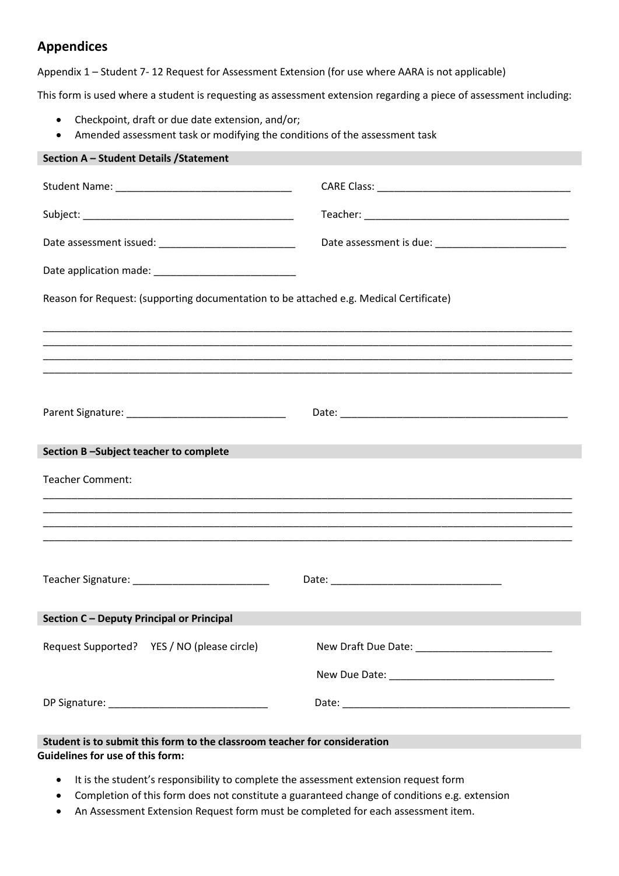## **Appendices**

Appendix 1 – Student 7- 12 Request for Assessment Extension (for use where AARA is not applicable)

This form is used where a student is requesting as assessment extension regarding a piece of assessment including:

- Checkpoint, draft or due date extension, and/or;
- Amended assessment task or modifying the conditions of the assessment task

| Section A - Student Details / Statement                                                |  |  |  |  |
|----------------------------------------------------------------------------------------|--|--|--|--|
|                                                                                        |  |  |  |  |
|                                                                                        |  |  |  |  |
|                                                                                        |  |  |  |  |
|                                                                                        |  |  |  |  |
| Reason for Request: (supporting documentation to be attached e.g. Medical Certificate) |  |  |  |  |
|                                                                                        |  |  |  |  |
|                                                                                        |  |  |  |  |
|                                                                                        |  |  |  |  |
|                                                                                        |  |  |  |  |
| Section B-Subject teacher to complete                                                  |  |  |  |  |
| <b>Teacher Comment:</b>                                                                |  |  |  |  |
|                                                                                        |  |  |  |  |
|                                                                                        |  |  |  |  |
|                                                                                        |  |  |  |  |
| Teacher Signature: Management Contractor                                               |  |  |  |  |
| Section C - Deputy Principal or Principal                                              |  |  |  |  |
| Request Supported? YES / NO (please circle)                                            |  |  |  |  |
|                                                                                        |  |  |  |  |
|                                                                                        |  |  |  |  |
| Student is to submit this form to the classroom teacher for consideration              |  |  |  |  |
| <b>Guidelines for use of this form:</b>                                                |  |  |  |  |

- It is the student's responsibility to complete the assessment extension request form
- Completion of this form does not constitute a guaranteed change of conditions e.g. extension
- An Assessment Extension Request form must be completed for each assessment item.